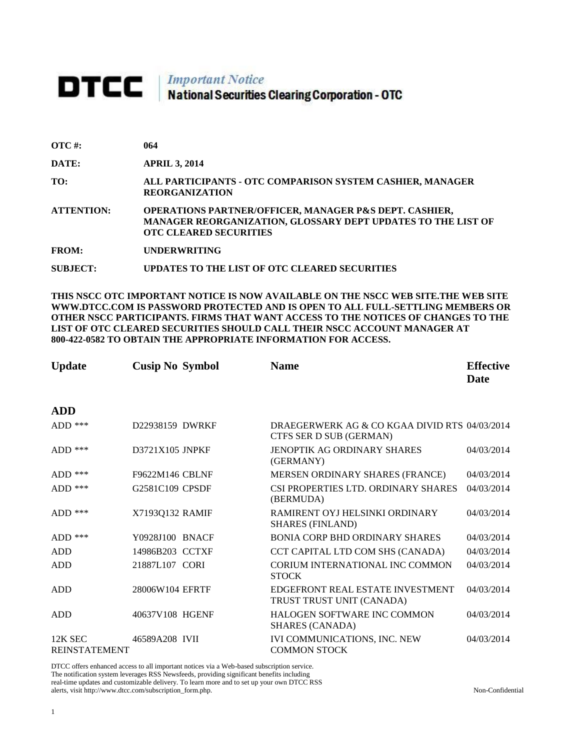# **DTCC** National Securities Clearing Corporation - OTC

| $\overline{OTC}$ #: | 064                                                                                                                                                                |
|---------------------|--------------------------------------------------------------------------------------------------------------------------------------------------------------------|
| DATE:               | <b>APRIL 3, 2014</b>                                                                                                                                               |
| TO:                 | ALL PARTICIPANTS - OTC COMPARISON SYSTEM CASHIER, MANAGER<br><b>REORGANIZATION</b>                                                                                 |
| <b>ATTENTION:</b>   | <b>OPERATIONS PARTNER/OFFICER, MANAGER P&amp;S DEPT. CASHIER,</b><br>MANAGER REORGANIZATION, GLOSSARY DEPT UPDATES TO THE LIST OF<br><b>OTC CLEARED SECURITIES</b> |
| <b>FROM:</b>        | <b>UNDERWRITING</b>                                                                                                                                                |
| SUBJECT:            | UPDATES TO THE LIST OF OTC CLEARED SECURITIES                                                                                                                      |

**THIS NSCC OTC IMPORTANT NOTICE IS NOW AVAILABLE ON THE NSCC WEB SITE.THE WEB SITE WWW.DTCC.COM IS PASSWORD PROTECTED AND IS OPEN TO ALL FULL-SETTLING MEMBERS OR OTHER NSCC PARTICIPANTS. FIRMS THAT WANT ACCESS TO THE NOTICES OF CHANGES TO THE LIST OF OTC CLEARED SECURITIES SHOULD CALL THEIR NSCC ACCOUNT MANAGER AT 800-422-0582 TO OBTAIN THE APPROPRIATE INFORMATION FOR ACCESS.** 

| <b>Update</b>                   | <b>Cusip No Symbol</b> | <b>Name</b>                                                              | <b>Effective</b><br>Date |
|---------------------------------|------------------------|--------------------------------------------------------------------------|--------------------------|
| <b>ADD</b>                      |                        |                                                                          |                          |
| $ADD$ ***                       | D22938159 DWRKF        | DRAEGERWERK AG & CO KGAA DIVID RTS 04/03/2014<br>CTFS SER D SUB (GERMAN) |                          |
| $ADD$ ***                       | D3721X105 JNPKF        | <b>JENOPTIK AG ORDINARY SHARES</b><br>(GERMANY)                          | 04/03/2014               |
| $ADD$ ***                       | F9622M146 CBLNF        | MERSEN ORDINARY SHARES (FRANCE)                                          | 04/03/2014               |
| $ADD$ ***                       | G2581C109 CPSDF        | CSI PROPERTIES LTD. ORDINARY SHARES<br>(BERMUDA)                         | 04/03/2014               |
| ADD $***$                       | X7193Q132 RAMIF        | RAMIRENT OYJ HELSINKI ORDINARY<br><b>SHARES (FINLAND)</b>                | 04/03/2014               |
| $ADD$ ***                       | Y0928J100 BNACF        | <b>BONIA CORP BHD ORDINARY SHARES</b>                                    | 04/03/2014               |
| <b>ADD</b>                      | 14986B203 CCTXF        | CCT CAPITAL LTD COM SHS (CANADA)                                         | 04/03/2014               |
| <b>ADD</b>                      | 21887L107 CORI         | CORIUM INTERNATIONAL INC COMMON<br><b>STOCK</b>                          | 04/03/2014               |
| <b>ADD</b>                      | 28006W104 EFRTF        | EDGEFRONT REAL ESTATE INVESTMENT<br>TRUST TRUST UNIT (CANADA)            | 04/03/2014               |
| <b>ADD</b>                      | 40637V108 HGENF        | <b>HALOGEN SOFTWARE INC COMMON</b><br><b>SHARES (CANADA)</b>             | 04/03/2014               |
| 12K SEC<br><b>REINSTATEMENT</b> | 46589A208 IVII         | <b>IVI COMMUNICATIONS, INC. NEW</b><br><b>COMMON STOCK</b>               | 04/03/2014               |

DTCC offers enhanced access to all important notices via a Web-based subscription service. The notification system leverages RSS Newsfeeds, providing significant benefits including real-time updates and customizable delivery. To learn more and to set up your own DTCC RSS alerts, visit http://www.dtcc.com/subscription\_form.php. Non-Confidential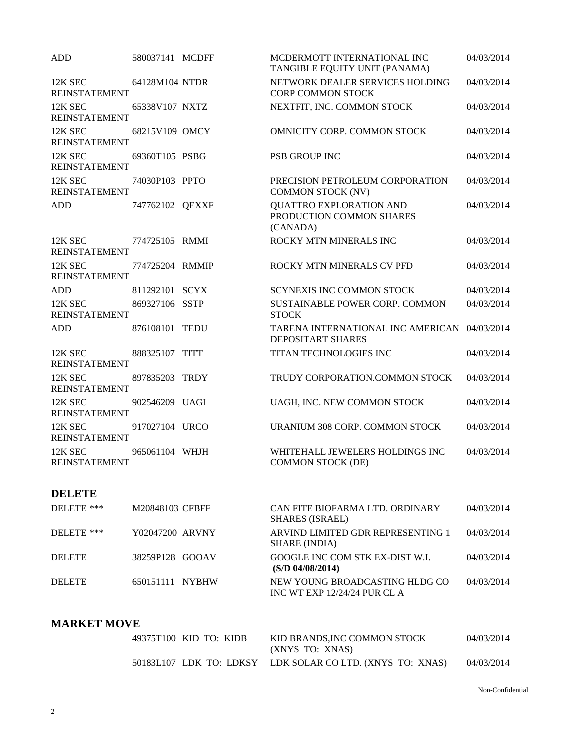| <b>ADD</b>                      | 580037141 MCDFF | MCDERMOTT INTERNATIONAL INC<br>TANGIBLE EQUITY UNIT (PANAMA)             | 04/03/2014 |
|---------------------------------|-----------------|--------------------------------------------------------------------------|------------|
| 12K SEC<br><b>REINSTATEMENT</b> | 64128M104 NTDR  | NETWORK DEALER SERVICES HOLDING<br><b>CORP COMMON STOCK</b>              | 04/03/2014 |
| 12K SEC<br><b>REINSTATEMENT</b> | 65338V107 NXTZ  | NEXTFIT, INC. COMMON STOCK                                               | 04/03/2014 |
| 12K SEC<br><b>REINSTATEMENT</b> | 68215V109 OMCY  | OMNICITY CORP. COMMON STOCK                                              | 04/03/2014 |
| 12K SEC<br><b>REINSTATEMENT</b> | 69360T105 PSBG  | <b>PSB GROUP INC</b>                                                     | 04/03/2014 |
| 12K SEC<br><b>REINSTATEMENT</b> | 74030P103 PPTO  | PRECISION PETROLEUM CORPORATION<br><b>COMMON STOCK (NV)</b>              | 04/03/2014 |
| <b>ADD</b>                      | 747762102 QEXXF | <b>QUATTRO EXPLORATION AND</b><br>PRODUCTION COMMON SHARES<br>(CANADA)   | 04/03/2014 |
| 12K SEC<br><b>REINSTATEMENT</b> | 774725105 RMMI  | ROCKY MTN MINERALS INC                                                   | 04/03/2014 |
| 12K SEC<br><b>REINSTATEMENT</b> | 774725204 RMMIP | ROCKY MTN MINERALS CV PFD                                                | 04/03/2014 |
| <b>ADD</b>                      | 811292101 SCYX  | <b>SCYNEXIS INC COMMON STOCK</b>                                         | 04/03/2014 |
| 12K SEC<br><b>REINSTATEMENT</b> | 869327106 SSTP  | SUSTAINABLE POWER CORP. COMMON<br><b>STOCK</b>                           | 04/03/2014 |
| <b>ADD</b>                      | 876108101 TEDU  | TARENA INTERNATIONAL INC AMERICAN 04/03/2014<br><b>DEPOSITART SHARES</b> |            |
| 12K SEC<br><b>REINSTATEMENT</b> | 888325107 TITT  | TITAN TECHNOLOGIES INC                                                   | 04/03/2014 |
| 12K SEC<br><b>REINSTATEMENT</b> | 897835203 TRDY  | TRUDY CORPORATION.COMMON STOCK                                           | 04/03/2014 |
| 12K SEC<br><b>REINSTATEMENT</b> | 902546209 UAGI  | UAGH, INC. NEW COMMON STOCK                                              | 04/03/2014 |
| 12K SEC<br><b>REINSTATEMENT</b> | 917027104 URCO  | URANIUM 308 CORP. COMMON STOCK                                           | 04/03/2014 |
| 12K SEC<br><b>REINSTATEMENT</b> | 965061104 WHJH  | WHITEHALL JEWELERS HOLDINGS INC<br><b>COMMON STOCK (DE)</b>              | 04/03/2014 |
|                                 |                 |                                                                          |            |

## **DELETE**

| DELETE ***    | M20848103 CFBFF | CAN FITE BIOFARMA LTD. ORDINARY<br><b>SHARES</b> (ISRAEL)      | 04/03/2014 |
|---------------|-----------------|----------------------------------------------------------------|------------|
| DELETE ***    | Y02047200 ARVNY | ARVIND LIMITED GDR REPRESENTING 1<br>SHARE (INDIA)             | 04/03/2014 |
| <b>DELETE</b> | 38259P128 GOOAV | GOOGLE INC COM STK EX-DIST W.I.<br>(S/D 04/08/2014)            | 04/03/2014 |
| <b>DELETE</b> | 650151111 NYBHW | NEW YOUNG BROADCASTING HLDG CO<br>INC WT EXP 12/24/24 PUR CL A | 04/03/2014 |

## **MARKET MOVE**

| 49375T100 KID TO: KIDB | KID BRANDS, INC COMMON STOCK<br>(XNYS TO: XNAS)           | 04/03/2014 |
|------------------------|-----------------------------------------------------------|------------|
|                        | 50183L107 LDK TO: LDKSY LDK SOLAR CO LTD. (XNYS TO: XNAS) | 04/03/2014 |

Non-Confidential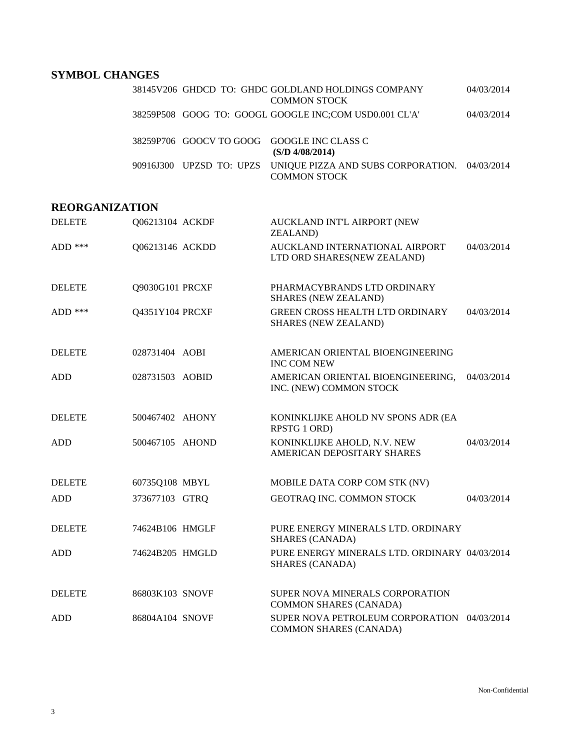# **SYMBOL CHANGES**

|  | 38145V206 GHDCD TO: GHDC GOLDLAND HOLDINGS COMPANY<br><b>COMMON STOCK</b>                     | 04/03/2014 |
|--|-----------------------------------------------------------------------------------------------|------------|
|  | 38259P508 GOOG TO: GOOGL GOOGLE INC;COM USD0.001 CL'A'                                        | 04/03/2014 |
|  | 38259P706 GOOCV TO GOOG GOOGLE INC CLASS C<br>(S/D 4/08/2014)                                 |            |
|  | 90916J300 UPZSD TO: UPZS UNIQUE PIZZA AND SUBS CORPORATION. 04/03/2014<br><b>COMMON STOCK</b> |            |

## **REORGANIZATION**

| <b>DELETE</b> | Q06213104 ACKDF | AUCKLAND INT'L AIRPORT (NEW<br><b>ZEALAND</b> )                              |            |
|---------------|-----------------|------------------------------------------------------------------------------|------------|
| $ADD$ ***     | Q06213146 ACKDD | AUCKLAND INTERNATIONAL AIRPORT<br>LTD ORD SHARES(NEW ZEALAND)                | 04/03/2014 |
| <b>DELETE</b> | Q9030G101 PRCXF | PHARMACYBRANDS LTD ORDINARY<br><b>SHARES (NEW ZEALAND)</b>                   |            |
| ADD ***       | Q4351Y104 PRCXF | <b>GREEN CROSS HEALTH LTD ORDINARY</b><br><b>SHARES (NEW ZEALAND)</b>        | 04/03/2014 |
| <b>DELETE</b> | 028731404 AOBI  | AMERICAN ORIENTAL BIOENGINEERING<br><b>INC COM NEW</b>                       |            |
| <b>ADD</b>    | 028731503 AOBID | AMERICAN ORIENTAL BIOENGINEERING,<br>INC. (NEW) COMMON STOCK                 | 04/03/2014 |
| <b>DELETE</b> | 500467402 AHONY | KONINKLIJKE AHOLD NV SPONS ADR (EA<br>RPSTG 1 ORD)                           |            |
| <b>ADD</b>    | 500467105 AHOND | KONINKLIJKE AHOLD, N.V. NEW<br>AMERICAN DEPOSITARY SHARES                    | 04/03/2014 |
| <b>DELETE</b> | 60735Q108 MBYL  | MOBILE DATA CORP COM STK (NV)                                                |            |
| <b>ADD</b>    | 373677103 GTRQ  | GEOTRAQ INC. COMMON STOCK                                                    | 04/03/2014 |
| <b>DELETE</b> | 74624B106 HMGLF | PURE ENERGY MINERALS LTD. ORDINARY<br><b>SHARES (CANADA)</b>                 |            |
| <b>ADD</b>    | 74624B205 HMGLD | PURE ENERGY MINERALS LTD. ORDINARY 04/03/2014<br><b>SHARES (CANADA)</b>      |            |
| <b>DELETE</b> | 86803K103 SNOVF | SUPER NOVA MINERALS CORPORATION<br><b>COMMON SHARES (CANADA)</b>             |            |
| <b>ADD</b>    | 86804A104 SNOVF | SUPER NOVA PETROLEUM CORPORATION 04/03/2014<br><b>COMMON SHARES (CANADA)</b> |            |